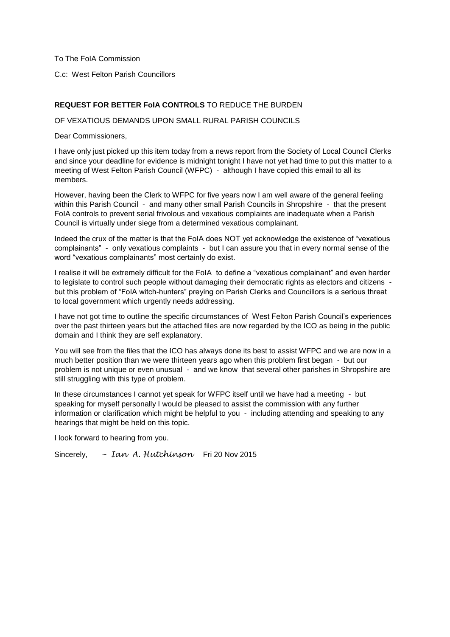To The FolA Commission

To The FoIA Commission<br>C.c: West Felton Parish Councillors

#### **REQUEST FOR BETTER FoIA CONTROLS** TO REDUCE THE BURDEN

OF VEXATIOUS DEMANDS UPON SMALL RURAL PARISH COUNCILS<br>Dear Commissioners,

 meeting of West Felton Parish Council (WFPC) - although I have copied this email to all its I have only just picked up this item today from a news report from the Society of Local Council Clerks and since your deadline for evidence is midnight tonight I have not yet had time to put this matter to a members.

 However, having been the Clerk to WFPC for five years now I am well aware of the general feeling within this Parish Council - and many other small Parish Councils in Shropshire - that the present Council is virtually under siege from a determined vexatious complainant. FoIA controls to prevent serial frivolous and vexatious complaints are inadequate when a Parish

 complainants" - only vexatious complaints - but I can assure you that in every normal sense of the word "vexatious complainants" most certainly do exist. Indeed the crux of the matter is that the FoIA does NOT yet acknowledge the existence of "vexatious"

 I realise it will be extremely difficult for the FoIA to define a "vexatious complainant" and even harder to legislate to control such people without damaging their democratic rights as electors and citizens - but this problem of "FoIA witch-hunters" preying on Parish Clerks and Councillors is a serious threat to local government which urgently needs addressing.

 I have not got time to outline the specific circumstances of West Felton Parish Council's experiences over the past thirteen years but the attached files are now regarded by the ICO as being in the public domain and I think they are self explanatory.

 much better position than we were thirteen years ago when this problem first began - but our problem is not unique or even unusual - and we know that several other parishes in Shropshire are You will see from the files that the ICO has always done its best to assist WFPC and we are now in a still struggling with this type of problem.

 In these circumstances I cannot yet speak for WFPC itself until we have had a meeting - but speaking for myself personally I would be pleased to assist the commission with any further information or clarification which might be helpful to you - including attending and speaking to any hearings that might be held on this topic.

I look forward to hearing from you.

Sincerely. Sincerely, ~ *Ian A. Hutchinson* Fri 20 Nov 2015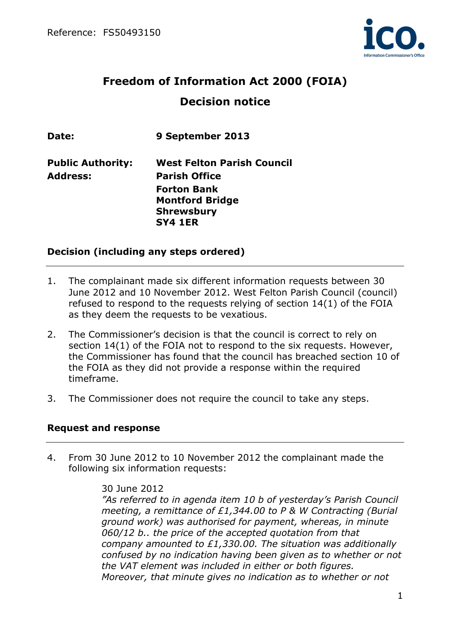

# **Freedom of Information Act 2000 (FOIA) Decision notice**

| Date:                    | 9 September 2013                  |
|--------------------------|-----------------------------------|
| <b>Public Authority:</b> | <b>West Felton Parish Council</b> |
| <b>Address:</b>          | <b>Parish Office</b>              |
|                          | <b>Forton Bank</b>                |
|                          | <b>Montford Bridge</b>            |
|                          | <b>Shrewsbury</b>                 |
|                          | <b>SY4 1ER</b>                    |

#### **Decision (including any steps ordered)**

- 1. The complainant made six different information requests between 30 June 2012 and 10 November 2012. West Felton Parish Council (council) refused to respond to the requests relying of section 14(1) of the FOIA as they deem the requests to be vexatious.
- 2. The Commissioner's decision is that the council is correct to rely on section 14(1) of the FOIA not to respond to the six requests. However, the Commissioner has found that the council has breached section 10 of the FOIA as they did not provide a response within the required timeframe.
- 3. The Commissioner does not require the council to take any steps.

#### **Request and response**

4. From 30 June 2012 to 10 November 2012 the complainant made the following six information requests:

#### 30 June 2012

*"As referred to in agenda item 10 b of yesterday's Parish Council meeting, a remittance of £1,344.00 to P & W Contracting (Burial ground work) was authorised for payment, whereas, in minute 060/12 b.. the price of the accepted quotation from that company amounted to £1,330.00. The situation was additionally confused by no indication having been given as to whether or not the VAT element was included in either or both figures. Moreover, that minute gives no indication as to whether or not*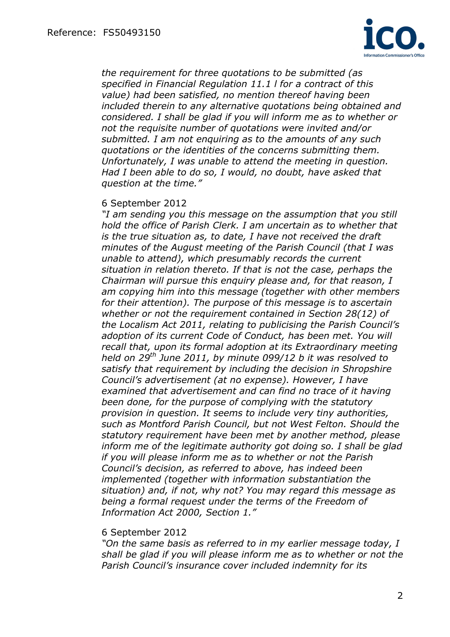

*the requirement for three quotations to be submitted (as specified in Financial Regulation 11.1 l for a contract of this value) had been satisfied, no mention thereof having been included therein to any alternative quotations being obtained and considered. I shall be glad if you will inform me as to whether or not the requisite number of quotations were invited and/or submitted. I am not enquiring as to the amounts of any such quotations or the identities of the concerns submitting them. Unfortunately, I was unable to attend the meeting in question. Had I been able to do so, I would, no doubt, have asked that question at the time."* 

#### 6 September 2012

*"I am sending you this message on the assumption that you still hold the office of Parish Clerk. I am uncertain as to whether that is the true situation as, to date, I have not received the draft minutes of the August meeting of the Parish Council (that I was unable to attend), which presumably records the current situation in relation thereto. If that is not the case, perhaps the Chairman will pursue this enquiry please and, for that reason, I am copying him into this message (together with other members for their attention). The purpose of this message is to ascertain whether or not the requirement contained in Section 28(12) of the Localism Act 2011, relating to publicising the Parish Council's adoption of its current Code of Conduct, has been met. You will recall that, upon its formal adoption at its Extraordinary meeting held on 29th June 2011, by minute 099/12 b it was resolved to satisfy that requirement by including the decision in Shropshire Council's advertisement (at no expense). However, I have examined that advertisement and can find no trace of it having been done, for the purpose of complying with the statutory provision in question. It seems to include very tiny authorities, such as Montford Parish Council, but not West Felton. Should the statutory requirement have been met by another method, please inform me of the legitimate authority got doing so. I shall be glad if you will please inform me as to whether or not the Parish Council's decision, as referred to above, has indeed been implemented (together with information substantiation the situation) and, if not, why not? You may regard this message as being a formal request under the terms of the Freedom of Information Act 2000, Section 1."* 

#### 6 September 2012

*"On the same basis as referred to in my earlier message today, I shall be glad if you will please inform me as to whether or not the Parish Council's insurance cover included indemnity for its*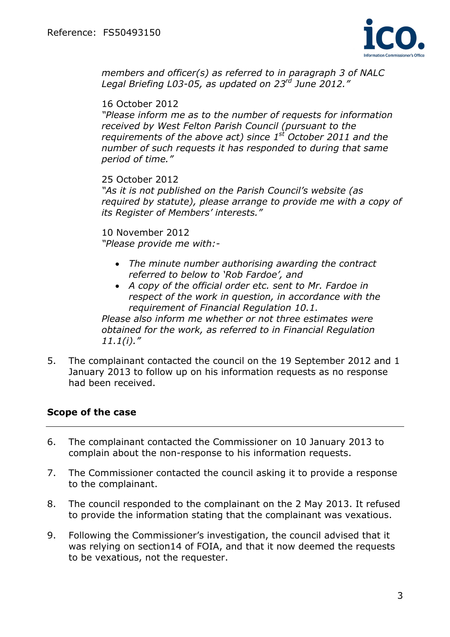

*members and officer(s) as referred to in paragraph 3 of NALC Legal Briefing L03-05, as updated on 23rd June 2012."* 

16 October 2012

*"Please inform me as to the number of requests for information received by West Felton Parish Council (pursuant to the requirements of the above act) since 1st October 2011 and the number of such requests it has responded to during that same period of time."* 

25 October 2012

*"As it is not published on the Parish Council's website (as required by statute), please arrange to provide me with a copy of its Register of Members' interests."* 

10 November 2012 *"Please provide me with:-*

- *The minute number authorising awarding the contract referred to below to 'Rob Fardoe', and*
- *A copy of the official order etc. sent to Mr. Fardoe in respect of the work in question, in accordance with the requirement of Financial Regulation 10.1.*

*Please also inform me whether or not three estimates were obtained for the work, as referred to in Financial Regulation 11.1(i)."* 

5. The complainant contacted the council on the 19 September 2012 and 1 January 2013 to follow up on his information requests as no response had been received.

### **Scope of the case**

- 6. The complainant contacted the Commissioner on 10 January 2013 to complain about the non-response to his information requests.
- 7. The Commissioner contacted the council asking it to provide a response to the complainant.
- 8. The council responded to the complainant on the 2 May 2013. It refused to provide the information stating that the complainant was vexatious.
- 9. Following the Commissioner's investigation, the council advised that it was relying on section14 of FOIA, and that it now deemed the requests to be vexatious, not the requester.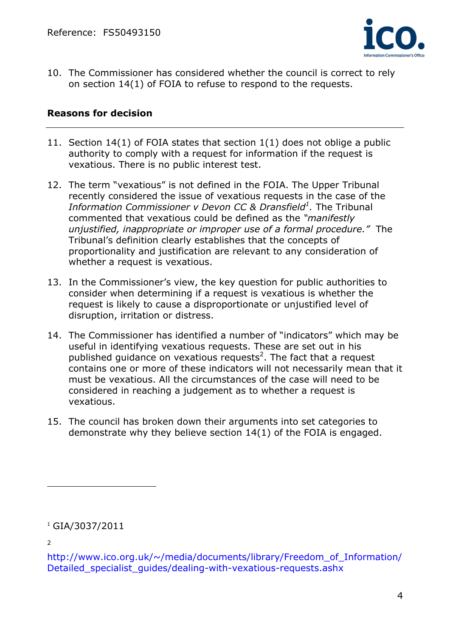

10. The Commissioner has considered whether the council is correct to rely on section 14(1) of FOIA to refuse to respond to the requests.

#### **Reasons for decision**

- 11. Section 14(1) of FOIA states that section 1(1) does not oblige a public authority to comply with a request for information if the request is vexatious. There is no public interest test.
- 12. The term "vexatious" is not defined in the FOIA. The Upper Tribunal recently considered the issue of vexatious requests in the case of the *Information Commissioner v Devon CC & Dransfield<sup>1</sup>. The Tribunal* commented that vexatious could be defined as the *"manifestly unjustified, inappropriate or improper use of a formal procedure."* The Tribunal's definition clearly establishes that the concepts of proportionality and justification are relevant to any consideration of whether a request is vexatious.
- 13. In the Commissioner's view, the key question for public authorities to consider when determining if a request is vexatious is whether the request is likely to cause a disproportionate or unjustified level of disruption, irritation or distress.
- 14. The Commissioner has identified a number of "indicators" which may be useful in identifying vexatious requests. These are set out in his published guidance on vexatious requests<sup>2</sup>. The fact that a request contains one or more of these indicators will not necessarily mean that it must be vexatious. All the circumstances of the case will need to be considered in reaching a judgement as to whether a request is vexatious.
- 15. The council has broken down their arguments into set categories to demonstrate why they believe section 14(1) of the FOIA is engaged.

2

 $\overline{a}$ 

<sup>1</sup> GIA/3037/2011

http://www.ico.org.uk/~/media/documents/library/Freedom\_of\_Information/ Detailed specialist quides/dealing-with-vexatious-requests.ashx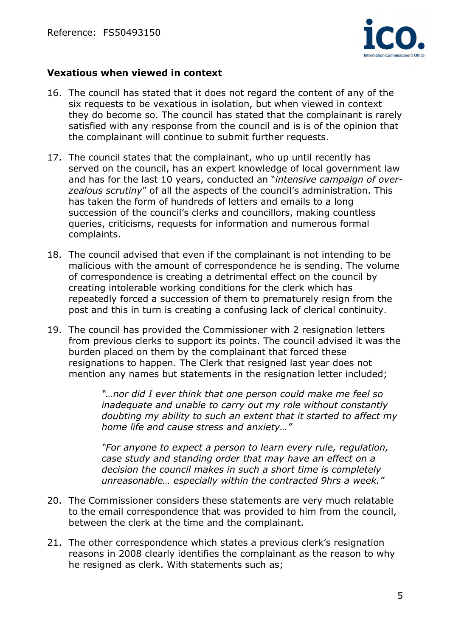

#### **Vexatious when viewed in context**

- 16. The council has stated that it does not regard the content of any of the six requests to be vexatious in isolation, but when viewed in context they do become so. The council has stated that the complainant is rarely satisfied with any response from the council and is is of the opinion that the complainant will continue to submit further requests.
- 17. The council states that the complainant, who up until recently has served on the council, has an expert knowledge of local government law and has for the last 10 years, conducted an "*intensive campaign of overzealous scrutiny*" of all the aspects of the council's administration. This has taken the form of hundreds of letters and emails to a long succession of the council's clerks and councillors, making countless queries, criticisms, requests for information and numerous formal complaints.
- 18. The council advised that even if the complainant is not intending to be malicious with the amount of correspondence he is sending. The volume of correspondence is creating a detrimental effect on the council by creating intolerable working conditions for the clerk which has repeatedly forced a succession of them to prematurely resign from the post and this in turn is creating a confusing lack of clerical continuity.
- 19. The council has provided the Commissioner with 2 resignation letters from previous clerks to support its points. The council advised it was the burden placed on them by the complainant that forced these resignations to happen. The Clerk that resigned last year does not mention any names but statements in the resignation letter included;

*"…nor did I ever think that one person could make me feel so inadequate and unable to carry out my role without constantly doubting my ability to such an extent that it started to affect my home life and cause stress and anxiety…"* 

*"For anyone to expect a person to learn every rule, regulation, case study and standing order that may have an effect on a decision the council makes in such a short time is completely unreasonable… especially within the contracted 9hrs a week."* 

- 20. The Commissioner considers these statements are very much relatable to the email correspondence that was provided to him from the council, between the clerk at the time and the complainant.
- 21. The other correspondence which states a previous clerk's resignation reasons in 2008 clearly identifies the complainant as the reason to why he resigned as clerk. With statements such as;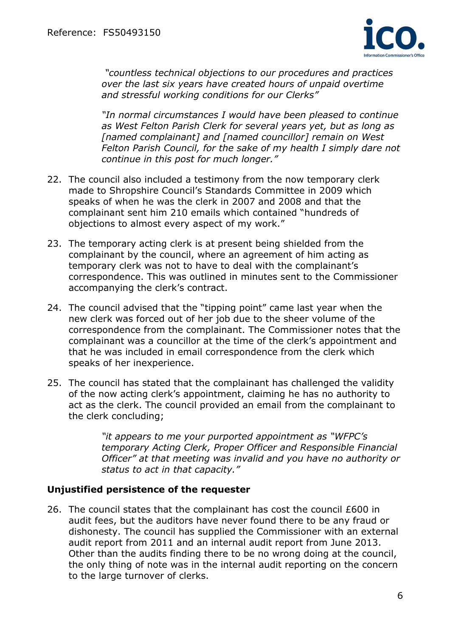

*"countless technical objections to our procedures and practices over the last six years have created hours of unpaid overtime and stressful working conditions for our Clerks"* 

*"In normal circumstances I would have been pleased to continue as West Felton Parish Clerk for several years yet, but as long as [named complainant] and [named councillor] remain on West Felton Parish Council, for the sake of my health I simply dare not continue in this post for much longer."* 

- 22. The council also included a testimony from the now temporary clerk made to Shropshire Council's Standards Committee in 2009 which speaks of when he was the clerk in 2007 and 2008 and that the complainant sent him 210 emails which contained "hundreds of objections to almost every aspect of my work."
- 23. The temporary acting clerk is at present being shielded from the complainant by the council, where an agreement of him acting as temporary clerk was not to have to deal with the complainant's correspondence. This was outlined in minutes sent to the Commissioner accompanying the clerk's contract.
- 24. The council advised that the "tipping point" came last year when the new clerk was forced out of her job due to the sheer volume of the correspondence from the complainant. The Commissioner notes that the complainant was a councillor at the time of the clerk's appointment and that he was included in email correspondence from the clerk which speaks of her inexperience.
- 25. The council has stated that the complainant has challenged the validity of the now acting clerk's appointment, claiming he has no authority to act as the clerk. The council provided an email from the complainant to the clerk concluding;

*"it appears to me your purported appointment as "WFPC's temporary Acting Clerk, Proper Officer and Responsible Financial Officer" at that meeting was invalid and you have no authority or status to act in that capacity."* 

#### **Unjustified persistence of the requester**

26. The council states that the complainant has cost the council £600 in audit fees, but the auditors have never found there to be any fraud or dishonesty. The council has supplied the Commissioner with an external audit report from 2011 and an internal audit report from June 2013. Other than the audits finding there to be no wrong doing at the council, the only thing of note was in the internal audit reporting on the concern to the large turnover of clerks.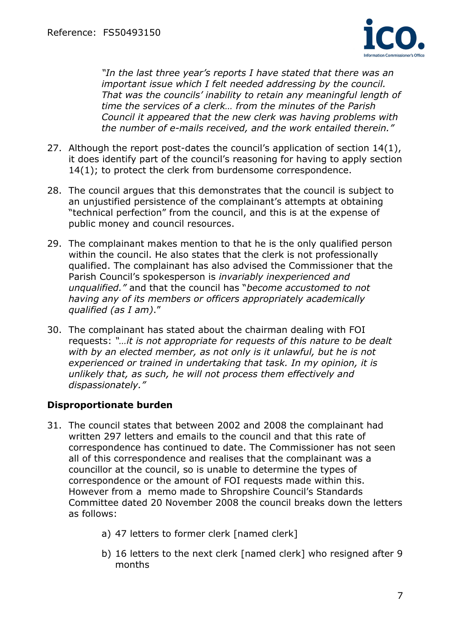

*"In the last three year's reports I have stated that there was an important issue which I felt needed addressing by the council. That was the councils' inability to retain any meaningful length of time the services of a clerk… from the minutes of the Parish Council it appeared that the new clerk was having problems with the number of e-mails received, and the work entailed therein."* 

- 27. Although the report post-dates the council's application of section 14(1), it does identify part of the council's reasoning for having to apply section 14(1); to protect the clerk from burdensome correspondence.
- 28. The council argues that this demonstrates that the council is subject to an unjustified persistence of the complainant's attempts at obtaining "technical perfection" from the council, and this is at the expense of public money and council resources.
- 29. The complainant makes mention to that he is the only qualified person within the council. He also states that the clerk is not professionally qualified. The complainant has also advised the Commissioner that the Parish Council's spokesperson is *invariably inexperienced and unqualified."* and that the council has "*become accustomed to not having any of its members or officers appropriately academically qualified (as I am)*."
- 30. The complainant has stated about the chairman dealing with FOI requests: *"…it is not appropriate for requests of this nature to be dealt*  with by an elected member, as not only is it unlawful, but he is not *experienced or trained in undertaking that task. In my opinion, it is unlikely that, as such, he will not process them effectively and dispassionately."*

### **Disproportionate burden**

- 31. The council states that between 2002 and 2008 the complainant had written 297 letters and emails to the council and that this rate of correspondence has continued to date. The Commissioner has not seen all of this correspondence and realises that the complainant was a councillor at the council, so is unable to determine the types of correspondence or the amount of FOI requests made within this. However from a memo made to Shropshire Council's Standards Committee dated 20 November 2008 the council breaks down the letters as follows:
	- a) 47 letters to former clerk [named clerk]
	- b) 16 letters to the next clerk [named clerk] who resigned after 9 months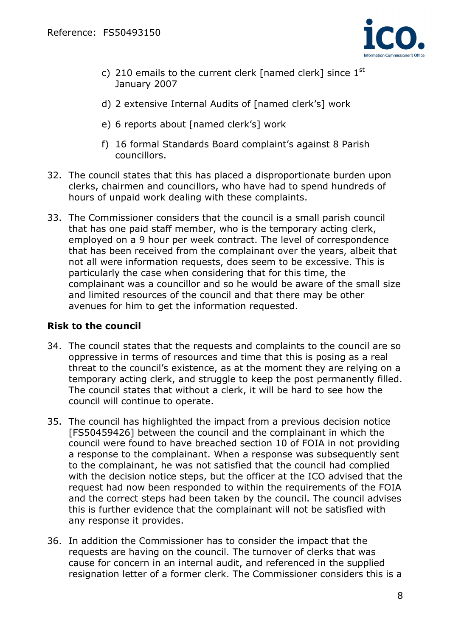

- c) 210 emails to the current clerk [named clerk] since  $1<sup>st</sup>$ January 2007
- d) 2 extensive Internal Audits of [named clerk's] work
- e) 6 reports about [named clerk's] work
- f) 16 formal Standards Board complaint's against 8 Parish councillors.
- 32. The council states that this has placed a disproportionate burden upon clerks, chairmen and councillors, who have had to spend hundreds of hours of unpaid work dealing with these complaints.
- 33. The Commissioner considers that the council is a small parish council that has one paid staff member, who is the temporary acting clerk, employed on a 9 hour per week contract. The level of correspondence that has been received from the complainant over the years, albeit that not all were information requests, does seem to be excessive. This is particularly the case when considering that for this time, the complainant was a councillor and so he would be aware of the small size and limited resources of the council and that there may be other avenues for him to get the information requested.

#### **Risk to the council**

- 34. The council states that the requests and complaints to the council are so oppressive in terms of resources and time that this is posing as a real threat to the council's existence, as at the moment they are relying on a temporary acting clerk, and struggle to keep the post permanently filled. The council states that without a clerk, it will be hard to see how the council will continue to operate.
- 35. The council has highlighted the impact from a previous decision notice [FS50459426] between the council and the complainant in which the council were found to have breached section 10 of FOIA in not providing a response to the complainant. When a response was subsequently sent to the complainant, he was not satisfied that the council had complied with the decision notice steps, but the officer at the ICO advised that the request had now been responded to within the requirements of the FOIA and the correct steps had been taken by the council. The council advises this is further evidence that the complainant will not be satisfied with any response it provides.
- 36. In addition the Commissioner has to consider the impact that the requests are having on the council. The turnover of clerks that was cause for concern in an internal audit, and referenced in the supplied resignation letter of a former clerk. The Commissioner considers this is a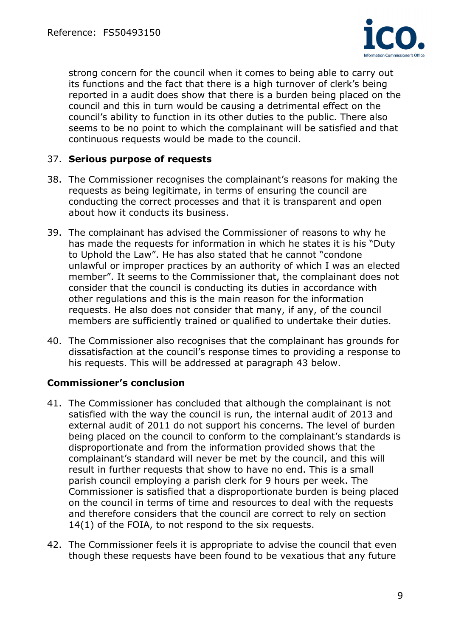

strong concern for the council when it comes to being able to carry out its functions and the fact that there is a high turnover of clerk's being reported in a audit does show that there is a burden being placed on the council and this in turn would be causing a detrimental effect on the council's ability to function in its other duties to the public. There also seems to be no point to which the complainant will be satisfied and that continuous requests would be made to the council.

#### 37. **Serious purpose of requests**

- 38. The Commissioner recognises the complainant's reasons for making the requests as being legitimate, in terms of ensuring the council are conducting the correct processes and that it is transparent and open about how it conducts its business.
- 39. The complainant has advised the Commissioner of reasons to why he has made the requests for information in which he states it is his "Duty to Uphold the Law". He has also stated that he cannot "condone unlawful or improper practices by an authority of which I was an elected member". It seems to the Commissioner that, the complainant does not consider that the council is conducting its duties in accordance with other regulations and this is the main reason for the information requests. He also does not consider that many, if any, of the council members are sufficiently trained or qualified to undertake their duties.
- 40. The Commissioner also recognises that the complainant has grounds for dissatisfaction at the council's response times to providing a response to his requests. This will be addressed at paragraph 43 below.

### **Commissioner's conclusion**

- 41. The Commissioner has concluded that although the complainant is not satisfied with the way the council is run, the internal audit of 2013 and external audit of 2011 do not support his concerns. The level of burden being placed on the council to conform to the complainant's standards is disproportionate and from the information provided shows that the complainant's standard will never be met by the council, and this will result in further requests that show to have no end. This is a small parish council employing a parish clerk for 9 hours per week. The Commissioner is satisfied that a disproportionate burden is being placed on the council in terms of time and resources to deal with the requests and therefore considers that the council are correct to rely on section 14(1) of the FOIA, to not respond to the six requests.
- 42. The Commissioner feels it is appropriate to advise the council that even though these requests have been found to be vexatious that any future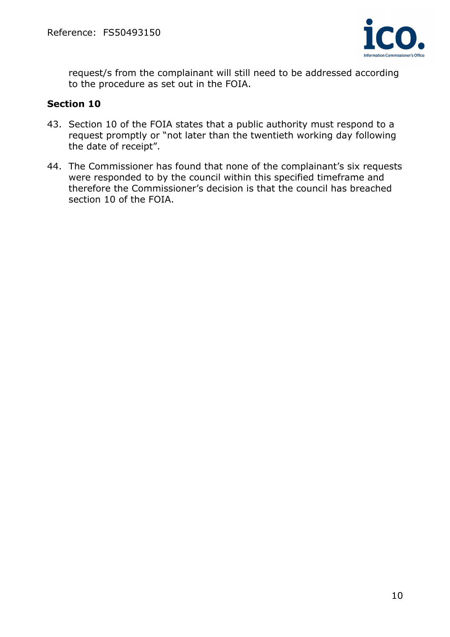

request/s from the complainant will still need to be addressed according to the procedure as set out in the FOIA.

#### **Section 10**

- 43. Section 10 of the FOIA states that a public authority must respond to a request promptly or "not later than the twentieth working day following the date of receipt".
- 44. The Commissioner has found that none of the complainant's six requests were responded to by the council within this specified timeframe and therefore the Commissioner's decision is that the council has breached section 10 of the FOIA.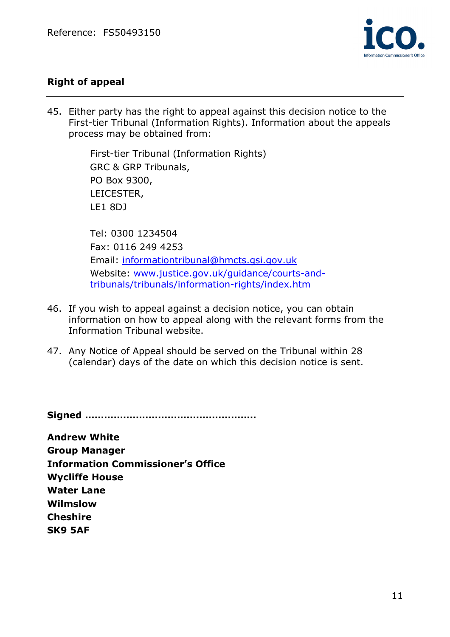

# **Right of appeal**

45. Either party has the right to appeal against this decision notice to the First-tier Tribunal (Information Rights). Information about the appeals process may be obtained from:

> LE1 8DJ First-tier Tribunal (Information Rights) GRC & GRP Tribunals, PO Box 9300, LEICESTER,

tribunals/tribunals/information-rights/index.htm Tel: 0300 1234504 Fax: 0116 249 4253 Email: informationtribunal@hmcts.gsi.gov.uk Website: www.justice.gov.uk/guidance/courts-and-

- 46. If you wish to appeal against a decision notice, you can obtain information on how to appeal along with the relevant forms from the Information Tribunal website.
- 47. Any Notice of Appeal should be served on the Tribunal within 28 (calendar) days of the date on which this decision notice is sent.

**Signed ………………………………………………** 

 **Information Commissioner's Office Wycliffe House SK9 5AF Andrew White Group Manager Water Lane Wilmslow Cheshire**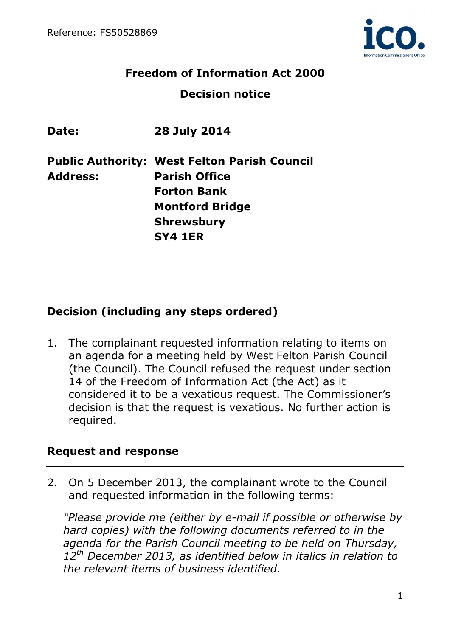

# **Freedom of Information Act 2000 Decision notice**

| Date:           | <b>28 July 2014</b>                                 |
|-----------------|-----------------------------------------------------|
|                 | <b>Public Authority: West Felton Parish Council</b> |
| <b>Address:</b> | <b>Parish Office</b>                                |
|                 | <b>Forton Bank</b>                                  |
|                 | <b>Montford Bridge</b>                              |
|                 | <b>Shrewsbury</b>                                   |
|                 | <b>SY4 1ER</b>                                      |

# **Decision (including any steps ordered)**

1. The complainant requested information relating to items on an agenda for a meeting held by West Felton Parish Council (the Council). The Council refused the request under section 14 of the Freedom of Information Act (the Act) as it considered it to be a vexatious request. The Commissioner's decision is that the request is vexatious. No further action is required.

## **Request and response**

2. On 5 December 2013, the complainant wrote to the Council and requested information in the following terms:

*"Please provide me (either by e-mail if possible or otherwise by hard copies) with the following documents referred to in the agenda for the Parish Council meeting to be held on Thursday, 12th December 2013, as identified below in italics in relation to the relevant items of business identified.*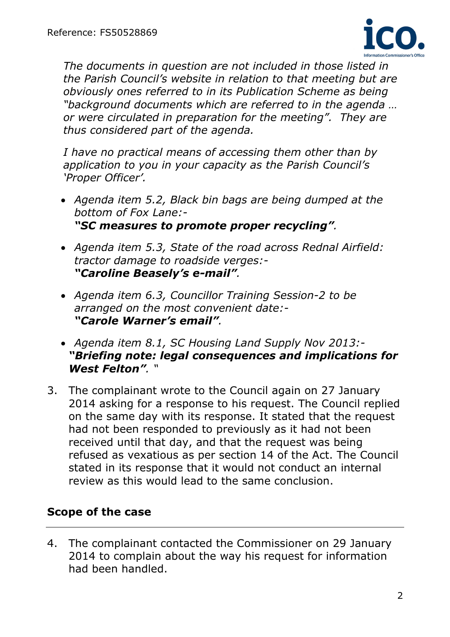

*The documents in question are not included in those listed in the Parish Council's website in relation to that meeting but are obviously ones referred to in its Publication Scheme as being "background documents which are referred to in the agenda … or were circulated in preparation for the meeting". They are thus considered part of the agenda.* 

*I have no practical means of accessing them other than by application to you in your capacity as the Parish Council's 'Proper Officer'.* 

- *Agenda item 5.2, Black bin bags are being dumped at the bottom of Fox Lane:- "SC measures to promote proper recycling".*
- *Agenda item 5.3, State of the road across Rednal Airfield: tractor damage to roadside verges:- "Caroline Beasely's e-mail".*
- *Agenda item 6.3, Councillor Training Session-2 to be arranged on the most convenient date:- "Carole Warner's email".*
- *Agenda item 8.1, SC Housing Land Supply Nov 2013:- "Briefing note: legal consequences and implications for West Felton". "*
- 3. The complainant wrote to the Council again on 27 January 2014 asking for a response to his request. The Council replied on the same day with its response. It stated that the request had not been responded to previously as it had not been received until that day, and that the request was being refused as vexatious as per section 14 of the Act. The Council stated in its response that it would not conduct an internal review as this would lead to the same conclusion.

# **Scope of the case**

4. The complainant contacted the Commissioner on 29 January 2014 to complain about the way his request for information had been handled.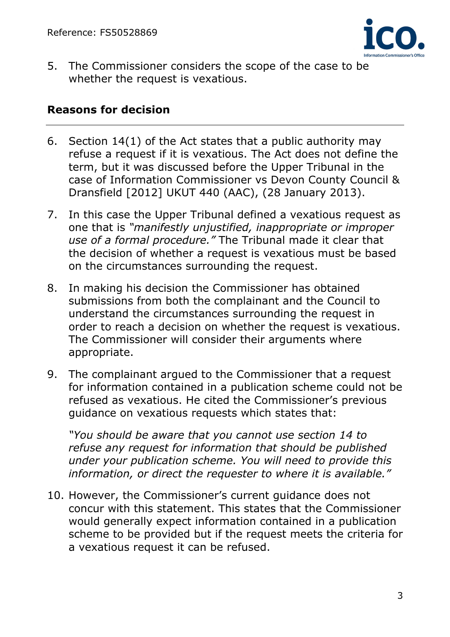

5. The Commissioner considers the scope of the case to be whether the request is vexatious.

# **Reasons for decision**

- 6. Section  $14(1)$  of the Act states that a public authority may refuse a request if it is vexatious. The Act does not define the term, but it was discussed before the Upper Tribunal in the case of Information Commissioner vs Devon County Council & Dransfield [2012] UKUT 440 (AAC), (28 January 2013).
- 7. In this case the Upper Tribunal defined a vexatious request as one that is *"manifestly unjustified, inappropriate or improper use of a formal procedure."* The Tribunal made it clear that the decision of whether a request is vexatious must be based on the circumstances surrounding the request.
- 8. In making his decision the Commissioner has obtained submissions from both the complainant and the Council to understand the circumstances surrounding the request in order to reach a decision on whether the request is vexatious. The Commissioner will consider their arguments where appropriate.
- 9. The complainant argued to the Commissioner that a request for information contained in a publication scheme could not be refused as vexatious. He cited the Commissioner's previous guidance on vexatious requests which states that:

*"You should be aware that you cannot use section 14 to refuse any request for information that should be published under your publication scheme. You will need to provide this information, or direct the requester to where it is available."* 

10. However, the Commissioner's current guidance does not concur with this statement. This states that the Commissioner would generally expect information contained in a publication scheme to be provided but if the request meets the criteria for a vexatious request it can be refused.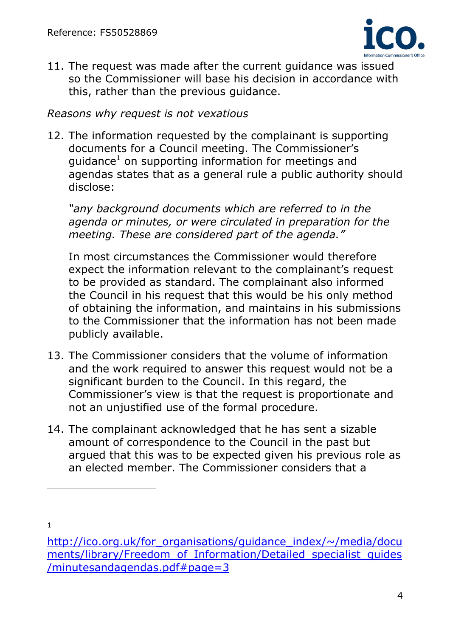

11. The request was made after the current guidance was issued so the Commissioner will base his decision in accordance with this, rather than the previous guidance.

# *Reasons why request is not vexatious*

12. The information requested by the complainant is supporting documents for a Council meeting. The Commissioner's guidance<sup>1</sup> on supporting information for meetings and agendas states that as a general rule a public authority should disclose:

*"any background documents which are referred to in the agenda or minutes, or were circulated in preparation for the meeting. These are considered part of the agenda."* 

In most circumstances the Commissioner would therefore expect the information relevant to the complainant's request to be provided as standard. The complainant also informed the Council in his request that this would be his only method of obtaining the information, and maintains in his submissions to the Commissioner that the information has not been made publicly available.

- 13. The Commissioner considers that the volume of information and the work required to answer this request would not be a significant burden to the Council. In this regard, the Commissioner's view is that the request is proportionate and not an unjustified use of the formal procedure.
- 14. The complainant acknowledged that he has sent a sizable amount of correspondence to the Council in the past but argued that this was to be expected given his previous role as an elected member. The Commissioner considers that a

1

 $\overline{a}$ 

 /minutesandagendas.pdf#page=3 4 http://ico.org.uk/for\_organisations/guidance\_index/~/media/docu ments/library/Freedom\_of\_Information/Detailed\_specialist\_guides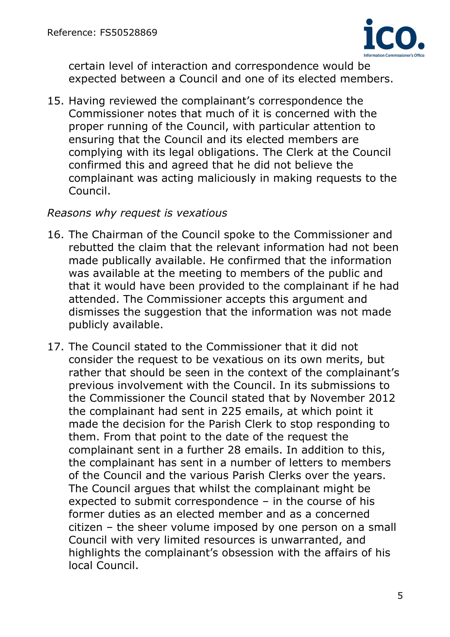

certain level of interaction and correspondence would be expected between a Council and one of its elected members.

15. Having reviewed the complainant's correspondence the Commissioner notes that much of it is concerned with the proper running of the Council, with particular attention to ensuring that the Council and its elected members are complying with its legal obligations. The Clerk at the Council confirmed this and agreed that he did not believe the complainant was acting maliciously in making requests to the Council.

# *Reasons why request is vexatious*

- 16. The Chairman of the Council spoke to the Commissioner and rebutted the claim that the relevant information had not been made publically available. He confirmed that the information was available at the meeting to members of the public and that it would have been provided to the complainant if he had attended. The Commissioner accepts this argument and dismisses the suggestion that the information was not made publicly available.
- 17. The Council stated to the Commissioner that it did not consider the request to be vexatious on its own merits, but rather that should be seen in the context of the complainant's previous involvement with the Council. In its submissions to the Commissioner the Council stated that by November 2012 the complainant had sent in 225 emails, at which point it made the decision for the Parish Clerk to stop responding to them. From that point to the date of the request the complainant sent in a further 28 emails. In addition to this, the complainant has sent in a number of letters to members of the Council and the various Parish Clerks over the years. The Council argues that whilst the complainant might be expected to submit correspondence – in the course of his former duties as an elected member and as a concerned citizen – the sheer volume imposed by one person on a small Council with very limited resources is unwarranted, and highlights the complainant's obsession with the affairs of his local Council.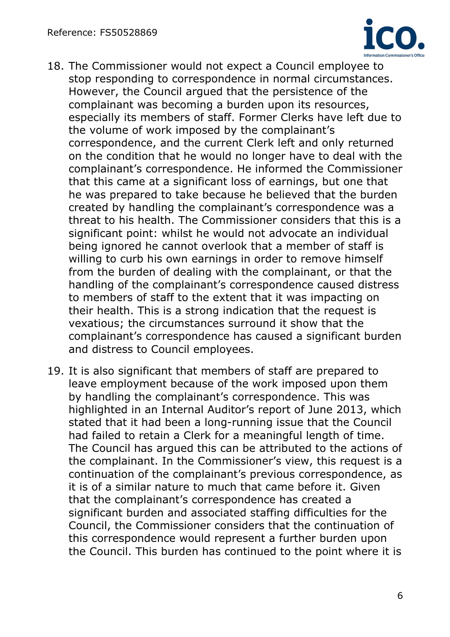

- 18. The Commissioner would not expect a Council employee to stop responding to correspondence in normal circumstances. However, the Council argued that the persistence of the complainant was becoming a burden upon its resources, especially its members of staff. Former Clerks have left due to the volume of work imposed by the complainant's correspondence, and the current Clerk left and only returned on the condition that he would no longer have to deal with the complainant's correspondence. He informed the Commissioner that this came at a significant loss of earnings, but one that he was prepared to take because he believed that the burden created by handling the complainant's correspondence was a threat to his health. The Commissioner considers that this is a significant point: whilst he would not advocate an individual being ignored he cannot overlook that a member of staff is willing to curb his own earnings in order to remove himself from the burden of dealing with the complainant, or that the handling of the complainant's correspondence caused distress to members of staff to the extent that it was impacting on their health. This is a strong indication that the request is vexatious; the circumstances surround it show that the complainant's correspondence has caused a significant burden and distress to Council employees.
- 19. It is also significant that members of staff are prepared to leave employment because of the work imposed upon them by handling the complainant's correspondence. This was highlighted in an Internal Auditor's report of June 2013, which stated that it had been a long-running issue that the Council had failed to retain a Clerk for a meaningful length of time. The Council has argued this can be attributed to the actions of the complainant. In the Commissioner's view, this request is a continuation of the complainant's previous correspondence, as it is of a similar nature to much that came before it. Given that the complainant's correspondence has created a significant burden and associated staffing difficulties for the Council, the Commissioner considers that the continuation of this correspondence would represent a further burden upon the Council. This burden has continued to the point where it is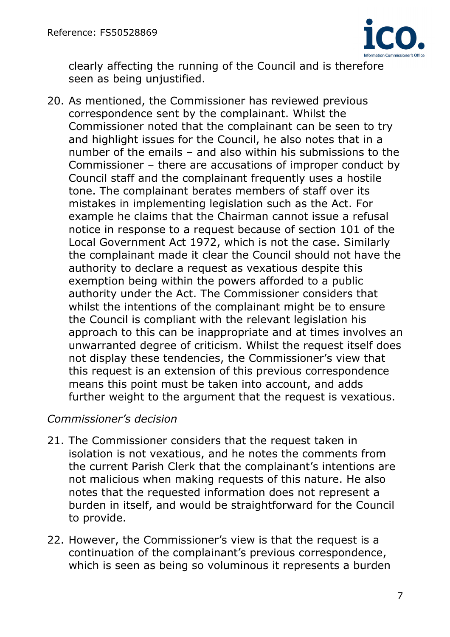

clearly affecting the running of the Council and is therefore seen as being unjustified.

20. As mentioned, the Commissioner has reviewed previous correspondence sent by the complainant. Whilst the Commissioner noted that the complainant can be seen to try and highlight issues for the Council, he also notes that in a number of the emails – and also within his submissions to the Commissioner – there are accusations of improper conduct by Council staff and the complainant frequently uses a hostile tone. The complainant berates members of staff over its mistakes in implementing legislation such as the Act. For example he claims that the Chairman cannot issue a refusal notice in response to a request because of section 101 of the Local Government Act 1972, which is not the case. Similarly the complainant made it clear the Council should not have the authority to declare a request as vexatious despite this exemption being within the powers afforded to a public authority under the Act. The Commissioner considers that whilst the intentions of the complainant might be to ensure the Council is compliant with the relevant legislation his approach to this can be inappropriate and at times involves an unwarranted degree of criticism. Whilst the request itself does not display these tendencies, the Commissioner's view that this request is an extension of this previous correspondence means this point must be taken into account, and adds further weight to the argument that the request is vexatious.

## *Commissioner's decision*

- 21. The Commissioner considers that the request taken in isolation is not vexatious, and he notes the comments from the current Parish Clerk that the complainant's intentions are not malicious when making requests of this nature. He also notes that the requested information does not represent a burden in itself, and would be straightforward for the Council to provide.
- 22. However, the Commissioner's view is that the request is a continuation of the complainant's previous correspondence, which is seen as being so voluminous it represents a burden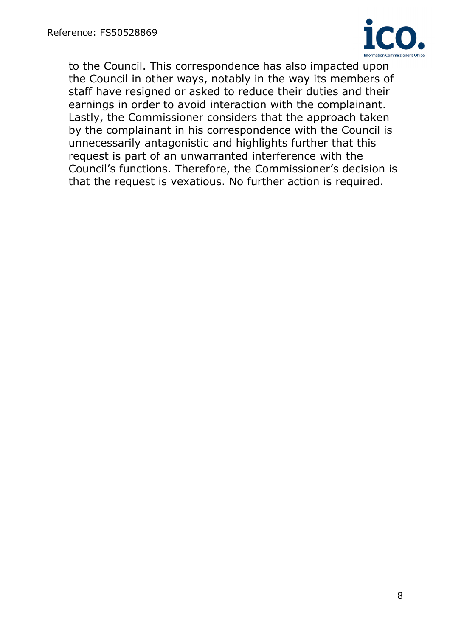

to the Council. This correspondence has also impacted upon the Council in other ways, notably in the way its members of staff have resigned or asked to reduce their duties and their earnings in order to avoid interaction with the complainant. Lastly, the Commissioner considers that the approach taken by the complainant in his correspondence with the Council is unnecessarily antagonistic and highlights further that this request is part of an unwarranted interference with the Council's functions. Therefore, the Commissioner's decision is that the request is vexatious. No further action is required.